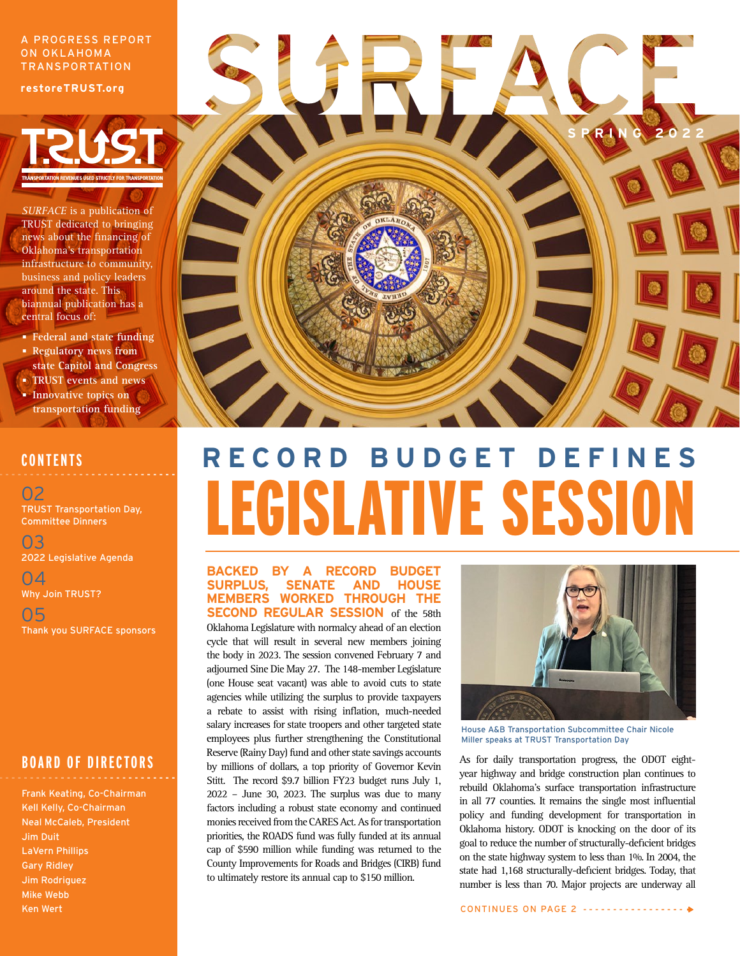#### A PROGRESS REPORT ON OKLAHOMA TRANSPORTATION

**restoreTRUST.org**



*SURFACE* is a publication of TRUST dedicated to bringing news about the financing of Oklahoma's transportation infrastructure to community, business and policy leaders around the state. This biannual publication has a central focus of:

- **Federal and state funding Regulatory news from**
- **state Capitol and Congress TRUST events and news**
- **Innovative topics on transportation funding**

## **CONTENTS**

02 TRUST Transportation Day, Committee Dinners

03 2022 Legislative Agenda

04 Why Join TRUST?

05 Thank you SURFACE sponsors

### **BOARD OF DIRECTORS**

Frank Keating, Co-Chairman Kell Kelly, Co-Chairman Neal McCaleb, President Jim Duit LaVern Phillips Gary Ridley Jim Rodriguez Mike Webb Ken Wert



# **R E C O R D B U D G E T D E F I N E S**  LEGISLATIVE SESSION

#### **BACKED BY A RECORD BUDGET SURPLUS, SENATE AND HOUSE MEMBERS WORKED THROUGH THE SECOND REGULAR SESSION** of the 58th

Oklahoma Legislature with normalcy ahead of an election cycle that will result in several new members joining the body in 2023. The session convened February 7 and adjourned Sine Die May 27. The 148-member Legislature (one House seat vacant) was able to avoid cuts to state agencies while utilizing the surplus to provide taxpayers a rebate to assist with rising inflation, much-needed salary increases for state troopers and other targeted state employees plus further strengthening the Constitutional Reserve (Rainy Day) fund and other state savings accounts by millions of dollars, a top priority of Governor Kevin Stitt. The record \$9.7 billion FY23 budget runs July 1, 2022 – June 30, 2023. The surplus was due to many factors including a robust state economy and continued monies received from the CARES Act. As for transportation priorities, the ROADS fund was fully funded at its annual cap of \$590 million while funding was returned to the County Improvements for Roads and Bridges (CIRB) fund to ultimately restore its annual cap to \$150 million.



House A&B Transportation Subcommittee Chair Nicole Miller speaks at TRUST Transportation Day

As for daily transportation progress, the ODOT eightyear highway and bridge construction plan continues to rebuild Oklahoma's surface transportation infrastructure in all 77 counties. It remains the single most influential policy and funding development for transportation in Oklahoma history. ODOT is knocking on the door of its goal to reduce the number of structurally-deficient bridges on the state highway system to less than 1%. In 2004, the state had 1,168 structurally-deficient bridges. Today, that number is less than 70. Major projects are underway all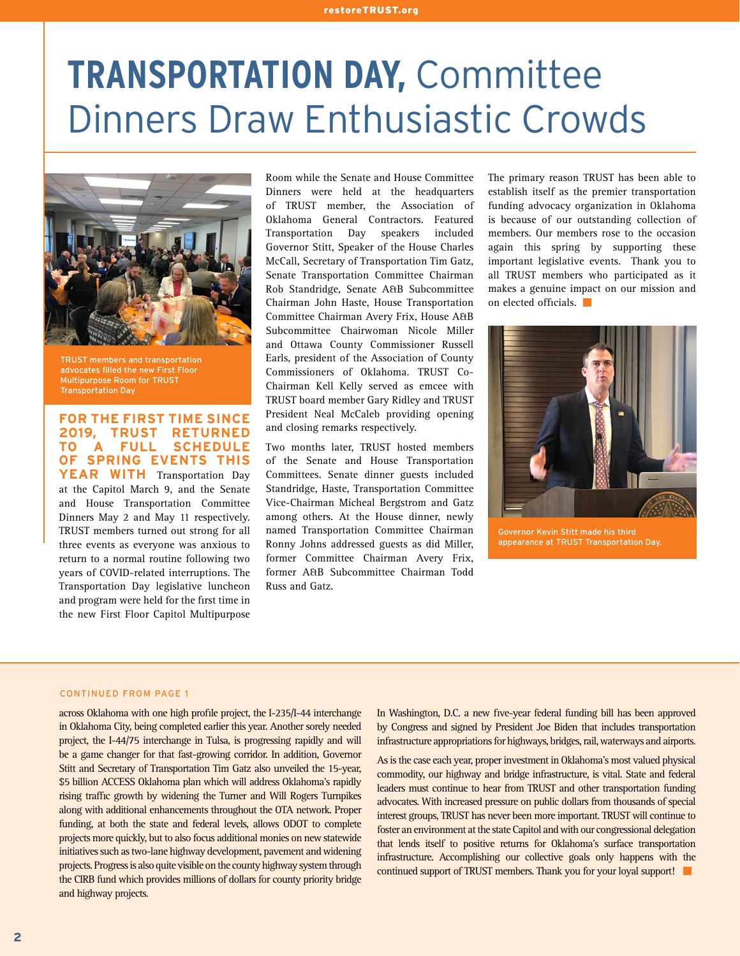# **TRANSPORTATION DAY,** Committee Dinners Draw Enthusiastic Crowds



TRUST members and transportation advocates filled the new First Floor Multipurpose Room for TRUST Transportation Day

**FOR THE FIRST TIME SINCE 2019, TRUST RETURNED TO A FULL SCHEDULE OF SPRING EVENTS THIS**  YEAR WITH Transportation Day at the Capitol March 9, and the Senate and House Transportation Committee Dinners May 2 and May 11 respectively. TRUST members turned out strong for all three events as everyone was anxious to return to a normal routine following two years of COVID-related interruptions. The Transportation Day legislative luncheon and program were held for the first time in the new First Floor Capitol Multipurpose

Room while the Senate and House Committee Dinners were held at the headquarters of TRUST member, the Association of Oklahoma General Contractors. Featured Transportation Day speakers included Governor Stitt, Speaker of the House Charles McCall, Secretary of Transportation Tim Gatz, Senate Transportation Committee Chairman Rob Standridge, Senate A&B Subcommittee Chairman John Haste, House Transportation Committee Chairman Avery Frix, House A&B Subcommittee Chairwoman Nicole Miller and Ottawa County Commissioner Russell Earls, president of the Association of County Commissioners of Oklahoma. TRUST Co-Chairman Kell Kelly served as emcee with TRUST board member Gary Ridley and TRUST President Neal McCaleb providing opening and closing remarks respectively.

Two months later, TRUST hosted members of the Senate and House Transportation Committees. Senate dinner guests included Standridge, Haste, Transportation Committee Vice-Chairman Micheal Bergstrom and Gatz among others. At the House dinner, newly named Transportation Committee Chairman Ronny Johns addressed guests as did Miller, former Committee Chairman Avery Frix, former A&B Subcommittee Chairman Todd Russ and Gatz.

The primary reason TRUST has been able to establish itself as the premier transportation funding advocacy organization in Oklahoma is because of our outstanding collection of members. Our members rose to the occasion again this spring by supporting these important legislative events. Thank you to all TRUST members who participated as it makes a genuine impact on our mission and on elected officials.



Governor Kevin Stitt made his third appearance at TRUST Transportation Day.

#### CONTINUED FROM PAGE 1

across Oklahoma with one high profile project, the I-235/I-44 interchange in Oklahoma City, being completed earlier this year. Another sorely needed project, the I-44/75 interchange in Tulsa, is progressing rapidly and will be a game changer for that fast-growing corridor. In addition, Governor Stitt and Secretary of Transportation Tim Gatz also unveiled the 15-year, \$5 billion ACCESS Oklahoma plan which will address Oklahoma's rapidly rising traffic growth by widening the Turner and Will Rogers Turnpikes along with additional enhancements throughout the OTA network. Proper funding, at both the state and federal levels, allows ODOT to complete projects more quickly, but to also focus additional monies on new statewide initiatives such as two-lane highway development, pavement and widening projects. Progress is also quite visible on the county highway system through the CIRB fund which provides millions of dollars for county priority bridge and highway projects.

In Washington, D.C. a new five-year federal funding bill has been approved by Congress and signed by President Joe Biden that includes transportation infrastructure appropriations for highways, bridges, rail, waterways and airports.

As is the case each year, proper investment in Oklahoma's most valued physical commodity, our highway and bridge infrastructure, is vital. State and federal leaders must continue to hear from TRUST and other transportation funding advocates. With increased pressure on public dollars from thousands of special interest groups, TRUST has never been more important. TRUST will continue to foster an environment at the state Capitol and with our congressional delegation that lends itself to positive returns for Oklahoma's surface transportation infrastructure. Accomplishing our collective goals only happens with the continued support of TRUST members. Thank you for your loyal support!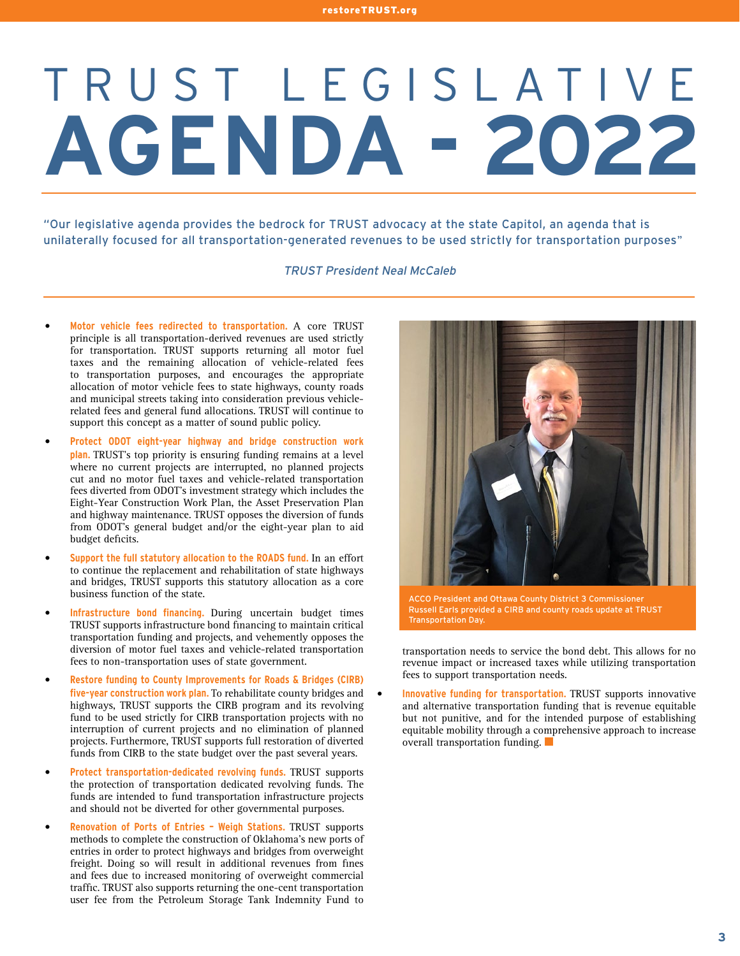# TRUST LEGISLATIVE **AGENDA - 2022**

"Our legislative agenda provides the bedrock for TRUST advocacy at the state Capitol, an agenda that is unilaterally focused for all transportation-generated revenues to be used strictly for transportation purposes**"**

#### TRUST President Neal McCaleb

- **Motor vehicle fees redirected to transportation.** A core TRUST principle is all transportation-derived revenues are used strictly for transportation. TRUST supports returning all motor fuel taxes and the remaining allocation of vehicle-related fees to transportation purposes, and encourages the appropriate allocation of motor vehicle fees to state highways, county roads and municipal streets taking into consideration previous vehiclerelated fees and general fund allocations. TRUST will continue to support this concept as a matter of sound public policy.
- **Protect ODOT eight-year highway and bridge construction work plan.** TRUST's top priority is ensuring funding remains at a level where no current projects are interrupted, no planned projects cut and no motor fuel taxes and vehicle-related transportation fees diverted from ODOT's investment strategy which includes the Eight-Year Construction Work Plan, the Asset Preservation Plan and highway maintenance. TRUST opposes the diversion of funds from ODOT's general budget and/or the eight-year plan to aid budget deficits.
- **Support the full statutory allocation to the ROADS fund.** In an effort to continue the replacement and rehabilitation of state highways and bridges, TRUST supports this statutory allocation as a core business function of the state.
- **Infrastructure bond financing.** During uncertain budget times TRUST supports infrastructure bond financing to maintain critical transportation funding and projects, and vehemently opposes the diversion of motor fuel taxes and vehicle-related transportation fees to non-transportation uses of state government.
- **Restore funding to County Improvements for Roads & Bridges (CIRB) five-year construction work plan.** To rehabilitate county bridges and highways, TRUST supports the CIRB program and its revolving fund to be used strictly for CIRB transportation projects with no interruption of current projects and no elimination of planned projects. Furthermore, TRUST supports full restoration of diverted funds from CIRB to the state budget over the past several years.
- **Protect transportation-dedicated revolving funds.** TRUST supports the protection of transportation dedicated revolving funds. The funds are intended to fund transportation infrastructure projects and should not be diverted for other governmental purposes.
- **Renovation of Ports of Entries Weigh Stations.** TRUST supports methods to complete the construction of Oklahoma's new ports of entries in order to protect highways and bridges from overweight freight. Doing so will result in additional revenues from fines and fees due to increased monitoring of overweight commercial traffic. TRUST also supports returning the one-cent transportation user fee from the Petroleum Storage Tank Indemnity Fund to



ACCO President and Ottawa County District 3 Commissioner Russell Earls provided a CIRB and county roads update at TRUST Transportation Day.

transportation needs to service the bond debt. This allows for no revenue impact or increased taxes while utilizing transportation fees to support transportation needs.

• **Innovative funding for transportation.** TRUST supports innovative and alternative transportation funding that is revenue equitable but not punitive, and for the intended purpose of establishing equitable mobility through a comprehensive approach to increase overall transportation funding.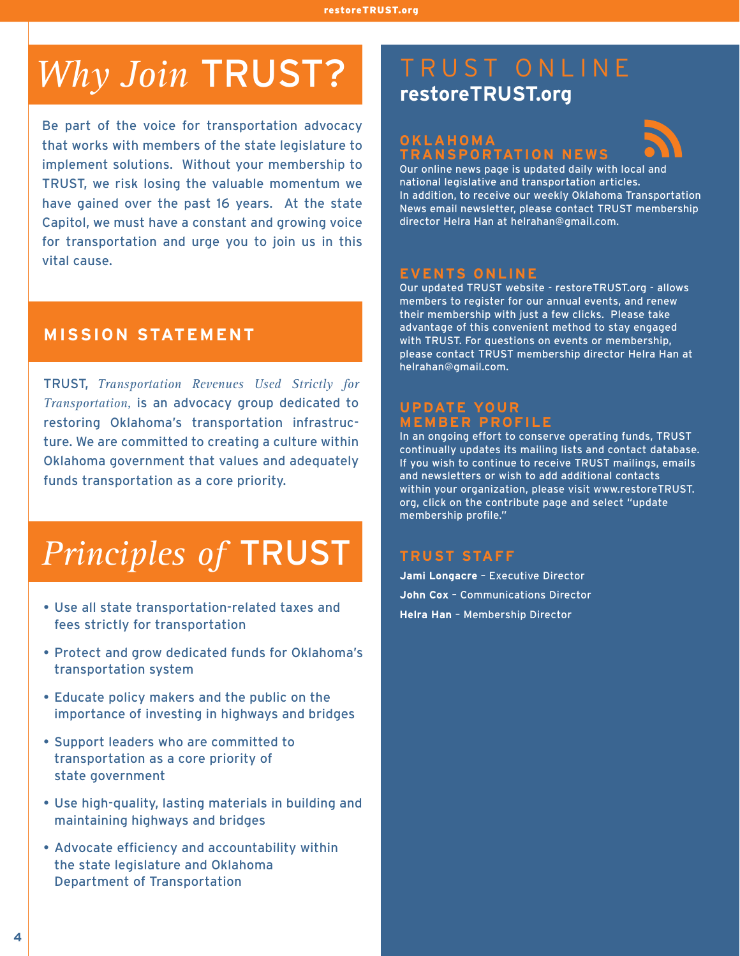# Why Join TRUST? TRUST ONLINE

Be part of the voice for transportation advocacy that works with members of the state legislature to implement solutions. Without your membership to TRUST, we risk losing the valuable momentum we have gained over the past 16 years. At the state Capitol, we must have a constant and growing voice for transportation and urge you to join us in this vital cause.

### **MISSION STATEMENT**

TRUST, *Transportation Revenues Used Strictly for Transportation,* is an advocacy group dedicated to restoring Oklahoma's transportation infrastructure. We are committed to creating a culture within Oklahoma government that values and adequately funds transportation as a core priority.

# *Principles of* TRUST

- Use all state transportation-related taxes and fees strictly for transportation
- Protect and grow dedicated funds for Oklahoma's transportation system
- Educate policy makers and the public on the importance of investing in highways and bridges
- Support leaders who are committed to transportation as a core priority of state government
- Use high-quality, lasting materials in building and maintaining highways and bridges
- Advocate efficiency and accountability within the state legislature and Oklahoma Department of Transportation

# **restoreTRUST.org**

### **OKLAHOMA TRANSPORTATION NEWS**



Our online news page is updated daily with local and national legislative and transportation articles. In addition, to receive our weekly Oklahoma Transportation News email newsletter, please contact TRUST membership director Helra Han at helrahan@gmail.com.

#### **EVENTS ONLINE**

Our updated TRUST website - restoreTRUST.org - allows members to register for our annual events, and renew their membership with just a few clicks. Please take advantage of this convenient method to stay engaged with TRUST. For questions on events or membership, please contact TRUST membership director Helra Han at helrahan@gmail.com.

### **UPDATE YOUR MEMBER PROFILE**

In an ongoing effort to conserve operating funds, TRUST continually updates its mailing lists and contact database. If you wish to continue to receive TRUST mailings, emails and newsletters or wish to add additional contacts within your organization, please visit www.restoreTRUST. org, click on the contribute page and select "update membership profile."

### **TRUST STAFF**

**Jami Longacre** – Executive Director **John Cox** – Communications Director **Helra Han** – Membership Director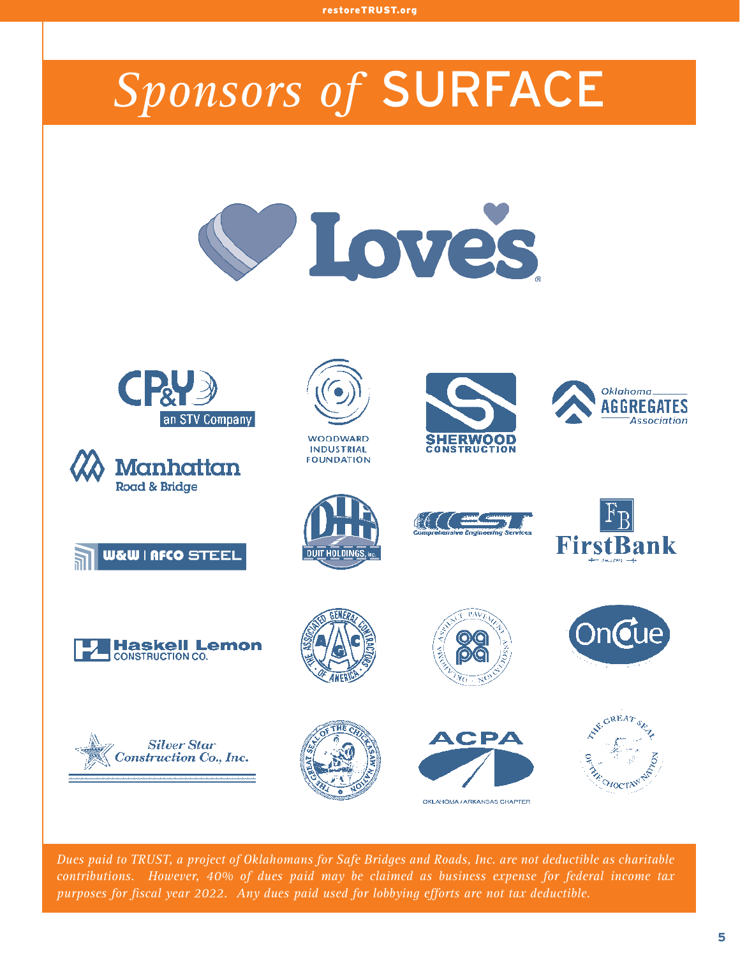# *Sponsors of* SURFACE















**DUIT HOLDINGS** 

**WOODWARD** 

**INDUSTRIAL** 

**FOUNDATION** 



SHERWOOD

**CONSTRUCTION** 







**FirstBank** 

)n**o**ue

Oklahoma\_ AGGREGATES

Association

*Dues paid to TRUST, a project of Oklahomans for Safe Bridges and Roads, Inc. are not deductible as charitable contributions. However, 40% of dues paid may be claimed as business expense for federal income tax purposes for fiscal year 2022. Any dues paid used for lobbying efforts are not tax deductible.*